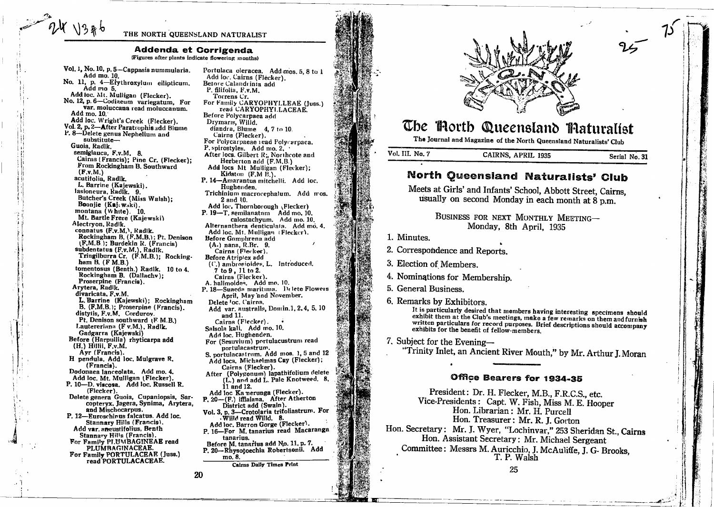#### THE NORTH QUEENSLAND NATURALIST

#### Addenda et Corrigenda

(Figures after plants indicate flowering months)

Vol. 1, No. 10, p. 5-Cappasis nummularia. Add mo. 10. No. 11, p. 4-Erythroxylum eilipticum. Add mo 5. Add toc. Mt. Mulligan (Flecker). No. 12, p. 6-Codiaeum variegatum, For var. moluccana read moluccanum. Add mo. 10 Add loc. Wright's Creek (Flecker). Vol. 2, p. 2-After Paratrophis add Blume P. 8-Delete genus Nephelium and substitute-Guoia, Radlk. semiglauca, F.v.M. 8 Cairns (Francis); Pine Cr. (Flecker); From Rockingham B. Southward  $(F.v.M.)$ acutifolia, Radlk. L. Barrine (Kajewski). lasioneura, Radik. 9. Butcher's Creek (Miss Walsh): Boonjie (Kaj. w.ki). montana (White). 10. Mt. Bartle Frere (Kajewski) Alectryon, Radlk. connatus (F.v.M.), Radlk.<br>Connatus (F.v.M.), Radlk.<br>Rockingham B. (F.M.B.); Pt. Denison<br>(F.M.B.); Burdekin R. (Francis) subdentatus (F.v.M.), Radik.<br>Tringilburra Cr. (F.M.B.); Rocking. ham  $B.$   $(F M.B.)$ tomentosus (Benth.) Radlk. 10 to 4. Rockingham B. (Dallachy): Proserpine (Francis). Arytera, Radik. divaricata, F.v.M. L. Barrine (Kajewski); Rockingham B. (F.M.B.); Proserpine (Francis). distylis, F.v.M. Cordurov. Pt. Denison southward (F M.B.) Lautereriana (F v.M.), Radlk. Gadgarra (Kajewski) Before (Harpullia) rhyticarpa add  $(H.)$  Hillii,  $F.v.M.$ Ayr (Francis). H pendula. Add loc. Mulgrave R. (Francis).<br>Dodonaea lanceolata. Add mo. 4. Add loc. Mt. Mulligan (Flecker). P. 10-D. viscosa. Add loc. Russell R. (Flecker). Delete genera Guoia, Cupaniopsis, Sarcopteryx, Jagera, Synima, Arytera, and Mischocarpus. P. 12-Euroschinus falcatus. Add loc. Stannary Hills (Francis). Add var. angustifolius, Benth Stannary Hills (Francis). For Family PLUMBAGINEAE read<br>PLUMBAGINACEAE. For Family PORTULACEAE (Juss.) read PORTULACACEAE.

74 13 #6

Portulaca oleracea. Add mos. 5, 8 to 1 Add loc. Cairns (Flecker). Betore Calandrinia add P. filifolia, F.v.M. Torrens Cr. For Family CARYOPHYLLEAE (Juss.) read CARYOPHYLLACEAE. Before Polycarpaea add Drymaris, Willd. diandra, Blume 4, 7 to 10. Cairns (Flecker). For Polycarpaeae read Polycarpaea. P. spirostyles. Add mo. 2. After locs. Gilbert R;, Northcote and Herberton add (F.M.B.) Add locs Mt Mulligan (Flecker); Kidston (F.M E.). P. 14-Amarantus mitchelli. Add loc. Hughenden. Trichinium macrocephalum. Add mos. 2 and 10. Add loc. Thornborough (Flecker)<br>P. 19-T. semilanatnm Add mo. 10. calostachyum. Add mo. 10. Alternanthera denticulata. Add mo. 4. Add loc. Mt. Mulligan (Flecker). Before Gomphrena add  $(A.)$  nana,  $R.Br. 9.$ Cairns (Flecker). Before Atriplex add  $($ ('.) ambroides, L. Introduced.<br>
7 to 9, 11 to 2.<br>
Cairns (Flecker). A. halimoides. Add mo. 10. P. 18-Suaeda maritima. Delete Flowers April. May and November. Delete 'oc. Cairns. Add var. australls, Domin.1, 2, 4, 5, 10 and 11. Cairns (Flecker). Salsola kali. Add mo. 10. Add loc. Hughenden. For (Sesuvium) portulacustrum read nortulacastrum. S. portulacastrum. Add mos. 1.5 and 12 Add locs. Michaelmas Cay (Flecker); Cairns (Flecker). After (Polygonum) lapathifolium delete (L.) and add L. Pale Knotweed. 8,  $11$  and  $12$ . I amu Iz.<br>Add loc Ka nerunga (Flecker).<br>P. 20—(F.) ifflaiana. After Atherton<br>District add (Swain). Vol. 3, p. 3-Crotolaria trifoliastrum. For . Willd read Willd. 8. Add loc. Barron Gorge (Flecker). P. 16-For M. tanarius read Macaranga tanarius. Before M. tanarius add No. 11, p. 7. P. 20-Rhysotoechia Robertsonii. Add mo. 8. **Cairns Daily Times Print** 



# The Horth Queensland Maturalist

The Journal and Magazine of the North Queensland Naturalists' Club

Vol. III. No. 7 CAIRNS, APRIL 1935 Serial No. 31

# **North Queensland Naturalists' Club**

Meets at Girls' and Infants' School, Abbott Street, Cairns. usually on second Monday in each month at 8 p.m.

> BUSINESS FOR NEXT MONTHLY MEETING-Monday, 8th April, 1935

1. Minutes.

2. Correspondence and Reports.

3. Election of Members.

- 4. Nominations for Membership.
- 5. General Business.
- 6. Remarks by Exhibitors.

It is particularly desired that members having interesting specimens should exhibit them at the Club's meetings, make a few remarks on them and furnish written particulars for record purposes. Brief descriptions should accompany exhibits for the benefit of fellow-members.

7. Subject for the Evening-

"Trinity Inlet, an Ancient River Mouth," by Mr. Arthur J. Moran

# Office Bearers for 1934-35

President: Dr. H. Flecker, M.B., F.R.C.S., etc. Vice-Presidents: Capt. W. Fish. Miss M. E. Hooper Hon. Librarian: Mr. H. Purcell Hon. Treasurer: Mr. R. J. Gorton Hon. Secretary: Mr. J. Wyer, "Lochinvar," 253 Sheridan St., Cairns Hon. Assistant Secretary: Mr. Michael Sergeant Committee: Messrs M. Auricchio, J. McAuliffe, J. G. Brooks, T. P. Walsh

20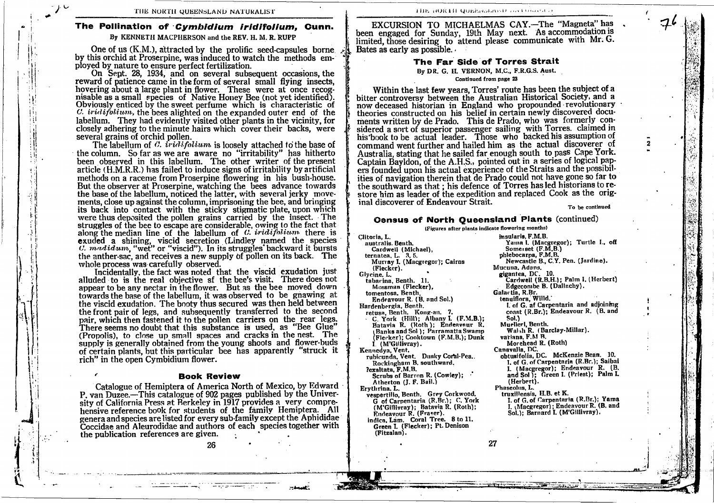### The Pollination of *Cymbidium iridifolium*, Cunn. By KENNETH MACPIIERSON and the REV. H. M. R. RUPP

One of us (K.M.), attracted by the prolific seed-capsules borne by this orchid at Proserpine, was induced to watch the methods employed by nature to ensure perfect fertilization

il; !ii  $\cdot$ ll lti iri il, lii lii iti lli

i:

On Sept. 28, 1934, and on several subsequent occasions, the reward of patience came in the form of several small flying insects, hovering about a large plant in flower. These were at once recognisable as a small species of Native Honey Bee (not yet identified). Obviously enticed by the sweet perfume which is characteristic of C. *iridifolium*, the bees alighted on the expanded outer end of the labellum. They had evidently visited other plants in the vicinity, for closely adhering to the minute hairs which cover their backs, were several grains of orchid pollen.

The labellum of  $C$ , iridifolium is loosely attached to the base of the column. So far as we are aware no "irritability" has hitherto been observed in this labellum. The other writer of the present article (H.M.R.R.) has failed to induce signs of irritability by artificial methods on a raceme from Proserpine flowering in his bush-house. But the observer at Proserpine, watching the bees advance towards the base of the labellum, noticed the latter, with several jerky movements, close up against the column, imprisoning the bee, and bringing its back into contact with the sticky stigmatic plate, upon which were thus deposited the pollen grains carried by the lnsect. The struggles of the bee to escape are considerable, owing to the fact that along the median line of the labellum of  $C$ . iridifolium there is exuded a shining, viscid secretion (Lindley named the species  $C.$   $maddum$ , "wet" or "viscid"). In its struggles' backward it bursts the anther-sac, and receives a new supply bf pollen on its back. The whole process was carefully observed.

Incidentally, the fact was noted that the viscid exudation just alluded to is the real obiective sf the bee's visit. There does not appear to be any nectar in the flower. But as the bee moved down towards the base of the labellum, it was observed to be gnawing at the viscid exudation. The booty thus secured was then held between the front pair of legs, and subsequently transferred to the second pair, which then fastened it to the pollen carriers on the rear legs. There seems no doubt that this substance is used. as "Bee Glue" (Propolis), to close up small spaces and cracks in the 1est. The supply is generally obtained from the young shoots and flower-buds supply is generally obtained from the young shoots and hower-buds<br>of certain plants, but this particular bee has apparently "struck it rich" in the open Cymbidium flower.

#### Book Revlew

Catalogue of Hemiptera of America North of Mexico, by Edward  $\frac{\text{Atherton (J. F. Bali.)}}{\text{F.}}$ P. van Duzee.-This catalogue of 902 pages published by the Universitv of California Press at Berkeley in 1917 provides a very comprehensive reference book for students of the family Hemiptera. All Coccidae and Aleurodidae and authors of each species together with Green I. (I the publication references are given. nensive reference book for students of the Tailiny Helliptera. All Findeavour R. (Fraser).<br>genera and species are listed for every sub-family except the Aphididae indica, Lam. Coral Tree

26

EXCURSION TO MICHAELMAS CAY.-The "Magneta" has been engaged for Sunday, 19th May next. As accommodation is limited, those desiring to attend please communicate with Mr. G. Bates as early as possible. ,

#### ' The Far Side of Torres Stralt

# By DR. G. H. VERNON, M.C., F.R.G.S. Aust.<br>Continued from page 23

Within the last few vears. Torres' route has been the subject of a bitter controversy between the Australian Historical Society, and a now deceased historian in England who propounded revolutionary theories constructed on his belief in certain newly discovered documents written by de Prado. This de Prado, who was formerly considered a sort of superior passenger sailing with Torres. claimed in his book to be actual leader. Those who backed his assumption of command went further and hailed him as the actual discoverer of Australia, stating that he sailed far enough south to pass Cape York. Captain Bayldon, of the A.H.S., pointed out in a series of logical papers founded upon his actual experience of the Straits and the possibilities of navigation therein that de Prado could not have gone so far to the southward as that : his defence of Torres has led historians to restore him as leader of the expedition and replaced Cook as the original discoverer of Endeavour Strait.  $T_0$  be continued

 $7<sup>1</sup>$ 

2

# Oonsus of North Queensland Plante (continued)

(Figures after plants indicate flowering months) Clitoria, L. insularis, F.M.B. Yanra l. (Macgregor); Turtle I., off Somerset (F.M,B.) australls. Benth. Cardwell (Michael), ternatea. L. 3,5. Murray I. (Macgtegor); Calrns phlebocarpa, F.M.B.<br>Newcastle B., C.Y. Pen. (Jardine). Mucuna. Adans. (Flecker). gigantea. DC. 10. Glycine. L. tabarina, Benth. 11. Cardweil (R.B.H.); Palm I. (Herbert) Edgecombe B. (Dallachy). Mossman (Flecker), Galartia, R.Br. tomentoea. Benth. Endeavour R. (8. and Sol.) tenulflora. Wllld.' l. of G. hf Carpentaria and adjoining Hardenbergla, Benth. coast (R.Br.); Endeavour R. (B. and retusa, Benth. Kong-an. 7.<br>• C. York (Hill); Albany I. (F.M.B.); Sol.) Batavia R. (Roth); Endeavour R.<br>(Banks and Sol); Parramatta Swamp Muellerl. Benth. Walsh R. (Barclay-Millar). (Flecker); Cooktown (F.M.B.); Dunk varians. F.M B. Morehead R. (Roth) I. (M'Gillivray). Kennedya, Vent. Canavalia, DC.<br>
obtusifolia, DC. McKenzie Bean. 10. rubicunda, Vent. Dusky Coral-Pea.. Rockingham B. southward, l. of G. ofCarpentarin (R.Br.); Saibai I. (Macgregor); Endeavour R. (B. ?exaltata, F.M.B. and Sol ); Green I. (Priest); Palm L. Serubs of Barron R. (Cowley); (Herbert). Erythrina. L. enth. Grey Corkwood. Phaseolus. L. truxillensis, H.B. et K. I. of G. of Carpentaria (R.Br.); Yama G of Carpentaria (R.Br.); C. York J. (Macgregor); Endeavour R. (B. and (M'Gilllvray); Batavia R. (Roth); Sol.); Barnard I. (M'Gillivray). indica, Lam. Coral Tree. 8 to 11.<br>Green I. (Flecker); Pt. Denison (Fitzalan).

27